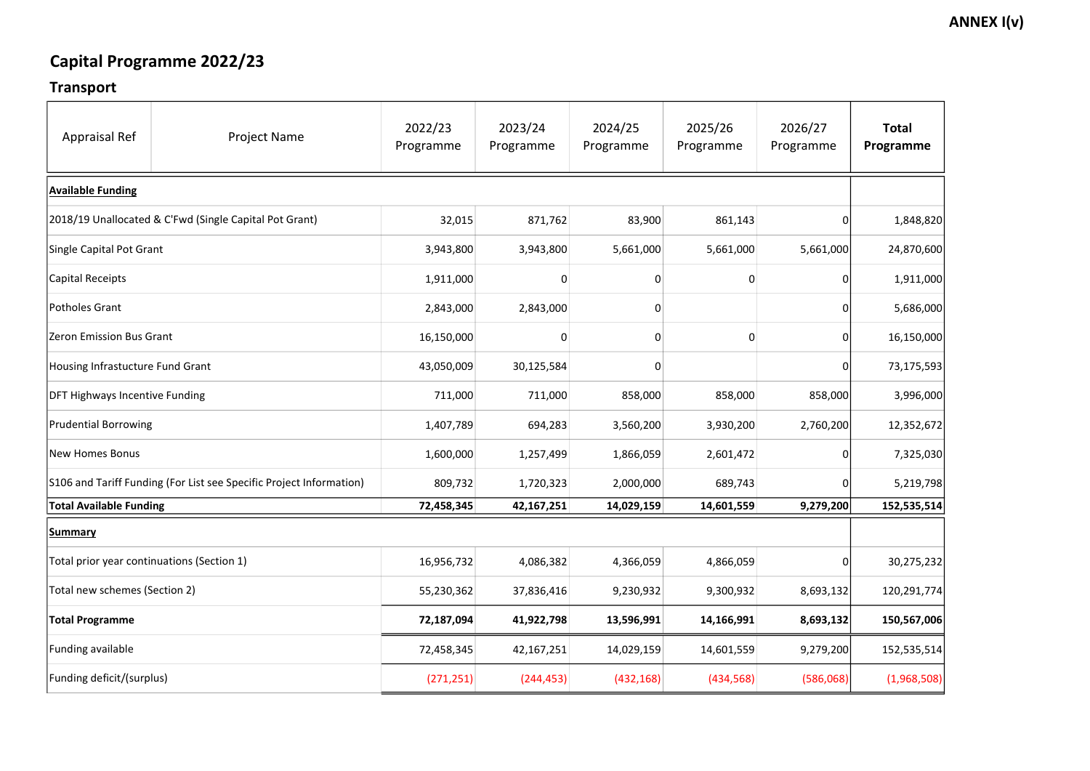### Transport

| <b>Appraisal Ref</b>                                                | <b>Project Name</b> | 2022/23<br>Programme | 2023/24<br>Programme | 2024/25<br>Programme | 2025/26<br>Programme | 2026/27<br>Programme | <b>Total</b><br>Programme |
|---------------------------------------------------------------------|---------------------|----------------------|----------------------|----------------------|----------------------|----------------------|---------------------------|
| <b>Available Funding</b>                                            |                     |                      |                      |                      |                      |                      |                           |
| 2018/19 Unallocated & C'Fwd (Single Capital Pot Grant)              |                     | 32,015               | 871,762              | 83,900               | 861,143              |                      | 1,848,820                 |
| Single Capital Pot Grant                                            |                     | 3,943,800            | 3,943,800            | 5,661,000            | 5,661,000            | 5,661,000            | 24,870,600                |
| Capital Receipts                                                    |                     | 1,911,000            | 0                    |                      | 0                    |                      | 1,911,000                 |
| Potholes Grant                                                      |                     | 2,843,000            | 2,843,000            | O                    |                      |                      | 5,686,000                 |
| Zeron Emission Bus Grant                                            |                     | 16,150,000           | Ω                    |                      | 0                    |                      | 16,150,000                |
| Housing Infrastucture Fund Grant                                    |                     | 43,050,009           | 30,125,584           |                      |                      |                      | 73,175,593                |
| <b>DFT Highways Incentive Funding</b>                               |                     | 711,000              | 711,000              | 858,000              | 858,000              | 858,000              | 3,996,000                 |
| <b>Prudential Borrowing</b>                                         |                     | 1,407,789            | 694,283              | 3,560,200            | 3,930,200            | 2,760,200            | 12,352,672                |
| <b>New Homes Bonus</b>                                              |                     | 1,600,000            | 1,257,499            | 1,866,059            | 2,601,472            |                      | 7,325,030                 |
| S106 and Tariff Funding (For List see Specific Project Information) |                     | 809,732              | 1,720,323            | 2,000,000            | 689,743              |                      | 5,219,798                 |
| <b>Total Available Funding</b>                                      |                     | 72,458,345           | 42, 167, 251         | 14,029,159           | 14,601,559           | 9,279,200            | 152,535,514               |
| <b>Summary</b>                                                      |                     |                      |                      |                      |                      |                      |                           |
| Total prior year continuations (Section 1)                          |                     | 16,956,732           | 4,086,382            | 4,366,059            | 4,866,059            | 0                    | 30,275,232                |
| Total new schemes (Section 2)                                       |                     | 55,230,362           | 37,836,416           | 9,230,932            | 9,300,932            | 8,693,132            | 120,291,774               |
| <b>Total Programme</b>                                              |                     | 72,187,094           | 41,922,798           | 13,596,991           | 14,166,991           | 8,693,132            | 150,567,006               |
| <b>Funding available</b>                                            |                     | 72,458,345           | 42,167,251           | 14,029,159           | 14,601,559           | 9,279,200            | 152,535,514               |
| <b>Funding deficit/(surplus)</b>                                    |                     | (271, 251)           | (244, 453)           | (432, 168)           | (434, 568)           | (586,068)            | (1,968,508)               |

### **ANNEX I(v)**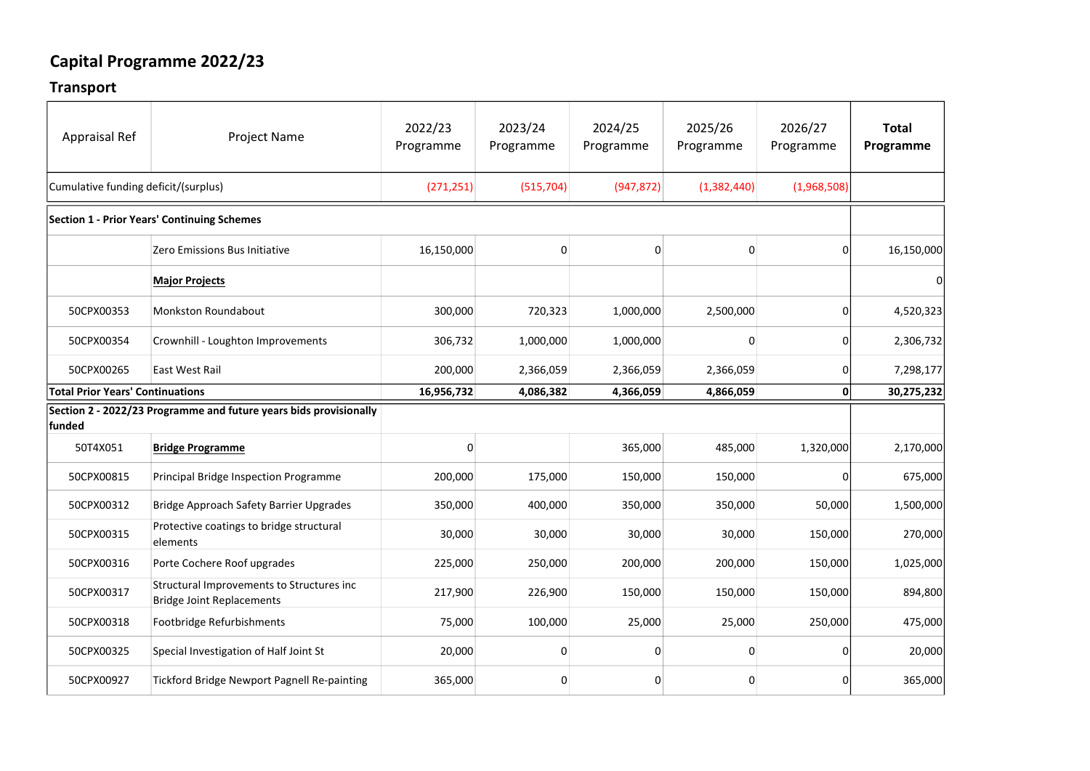#### Transport

| <b>Appraisal Ref</b>                    | <b>Project Name</b>                                                           | 2022/23<br>Programme | 2023/24<br>Programme | 2024/25<br>Programme | 2025/26<br>Programme | 2026/27<br>Programme | <b>Total</b><br>Programme |
|-----------------------------------------|-------------------------------------------------------------------------------|----------------------|----------------------|----------------------|----------------------|----------------------|---------------------------|
| Cumulative funding deficit/(surplus)    |                                                                               | (271, 251)           | (515, 704)           | (947, 872)           | (1,382,440)          | (1,968,508)          |                           |
|                                         | <b>Section 1 - Prior Years' Continuing Schemes</b>                            |                      |                      |                      |                      |                      |                           |
|                                         | Zero Emissions Bus Initiative                                                 | 16,150,000           | $\Omega$             | 0                    | 0                    | 0                    | 16,150,000                |
|                                         | <b>Major Projects</b>                                                         |                      |                      |                      |                      |                      |                           |
| 50CPX00353                              | <b>Monkston Roundabout</b>                                                    | 300,000              | 720,323              | 1,000,000            | 2,500,000            |                      | 4,520,323                 |
| 50CPX00354                              | Crownhill - Loughton Improvements                                             | 306,732              | 1,000,000            | 1,000,000            | O                    | O                    | 2,306,732                 |
| 50CPX00265                              | <b>East West Rail</b>                                                         | 200,000              | 2,366,059            | 2,366,059            | 2,366,059            |                      | 7,298,177                 |
| <b>Total Prior Years' Continuations</b> |                                                                               | 16,956,732           | 4,086,382            | 4,366,059            | 4,866,059            | 0                    | 30,275,232                |
| funded                                  | Section 2 - 2022/23 Programme and future years bids provisionally             |                      |                      |                      |                      |                      |                           |
| 50T4X051                                | <b>Bridge Programme</b>                                                       | 0                    |                      | 365,000              | 485,000              | 1,320,000            | 2,170,000                 |
| 50CPX00815                              | <b>Principal Bridge Inspection Programme</b>                                  | 200,000              | 175,000              | 150,000              | 150,000              |                      | 675,000                   |
| 50CPX00312                              | Bridge Approach Safety Barrier Upgrades                                       | 350,000              | 400,000              | 350,000              | 350,000              | 50,000               | 1,500,000                 |
| 50CPX00315                              | Protective coatings to bridge structural<br>elements                          | 30,000               | 30,000               | 30,000               | 30,000               | 150,000              | 270,000                   |
| 50CPX00316                              | Porte Cochere Roof upgrades                                                   | 225,000              | 250,000              | 200,000              | 200,000              | 150,000              | 1,025,000                 |
| 50CPX00317                              | Structural Improvements to Structures inc<br><b>Bridge Joint Replacements</b> | 217,900              | 226,900              | 150,000              | 150,000              | 150,000              | 894,800                   |
| 50CPX00318                              | Footbridge Refurbishments                                                     | 75,000               | 100,000              | 25,000               | 25,000               | 250,000              | 475,000                   |
| 50CPX00325                              | Special Investigation of Half Joint St                                        | 20,000               |                      | 0                    | 0                    |                      | 20,000                    |
| 50CPX00927                              | <b>Tickford Bridge Newport Pagnell Re-painting</b>                            | 365,000              |                      |                      | 0                    | 0                    | 365,000                   |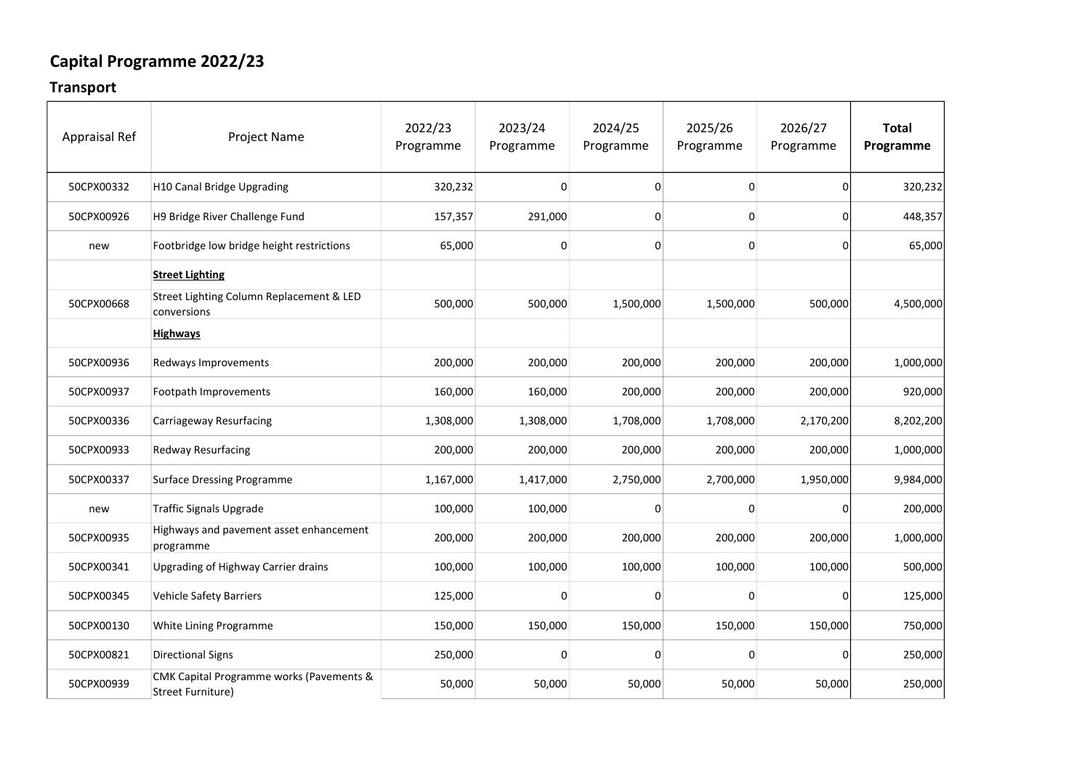#### Transport

| <b>Appraisal Ref</b> | <b>Project Name</b>                                                      | 2022/23<br>Programme | 2023/24<br>Programme | 2024/25<br>Programme | 2025/26<br>Programme | 2026/27<br>Programme | <b>Total</b><br>Programme |
|----------------------|--------------------------------------------------------------------------|----------------------|----------------------|----------------------|----------------------|----------------------|---------------------------|
| 50CPX00332           | H10 Canal Bridge Upgrading                                               | 320,232              | 0                    | 0                    | 0                    | 0                    | 320,232                   |
| 50CPX00926           | H9 Bridge River Challenge Fund                                           | 157,357              | 291,000              | O                    | $\mathbf 0$          | 01                   | 448,357                   |
| new                  | Footbridge low bridge height restrictions                                | 65,000               | 0                    | 0                    | 0                    | 01                   | 65,000                    |
|                      | <b>Street Lighting</b>                                                   |                      |                      |                      |                      |                      |                           |
| 50CPX00668           | Street Lighting Column Replacement & LED<br>conversions                  | 500,000              | 500,000              | 1,500,000            | 1,500,000            | 500,000              | 4,500,000                 |
|                      | <b>Highways</b>                                                          |                      |                      |                      |                      |                      |                           |
| 50CPX00936           | Redways Improvements                                                     | 200,000              | 200,000              | 200,000              | 200,000              | 200,000              | 1,000,000                 |
| 50CPX00937           | Footpath Improvements                                                    | 160,000              | 160,000              | 200,000              | 200,000              | 200,000              | 920,000                   |
| 50CPX00336           | <b>Carriageway Resurfacing</b>                                           | 1,308,000            | 1,308,000            | 1,708,000            | 1,708,000            | 2,170,200            | 8,202,200                 |
| 50CPX00933           | <b>Redway Resurfacing</b>                                                | 200,000              | 200,000              | 200,000              | 200,000              | 200,000              | 1,000,000                 |
| 50CPX00337           | <b>Surface Dressing Programme</b>                                        | 1,167,000            | 1,417,000            | 2,750,000            | 2,700,000            | 1,950,000            | 9,984,000                 |
| new                  | <b>Traffic Signals Upgrade</b>                                           | 100,000              | 100,000              |                      | 0                    | ΩI                   | 200,000                   |
| 50CPX00935           | Highways and pavement asset enhancement<br>programme                     | 200,000              | 200,000              | 200,000              | 200,000              | 200,000              | 1,000,000                 |
| 50CPX00341           | Upgrading of Highway Carrier drains                                      | 100,000              | 100,000              | 100,000              | 100,000              | 100,000              | 500,000                   |
| 50CPX00345           | <b>Vehicle Safety Barriers</b>                                           | 125,000              |                      |                      | 0                    | $\mathbf{0}$         | 125,000                   |
| 50CPX00130           | White Lining Programme                                                   | 150,000              | 150,000              | 150,000              | 150,000              | 150,000              | 750,000                   |
| 50CPX00821           | <b>Directional Signs</b>                                                 | 250,000              |                      |                      | 0                    | $\overline{0}$       | 250,000                   |
| 50CPX00939           | <b>CMK Capital Programme works (Pavements &amp;</b><br>Street Furniture) | 50,000               | 50,000               | 50,000               | 50,000               | 50,000               | 250,000                   |